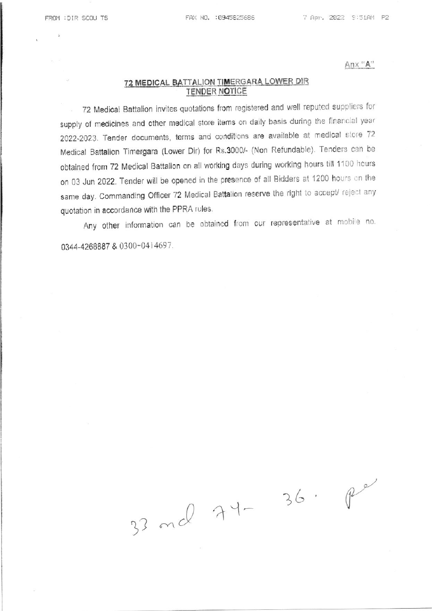Anx "A"

## 72 MEDICAL BATTALION TIMERGARA LOWER DIR **TENDER NOTICE**

72 Medical Battalion invites quotations from registered and well reputed suppliers for supply of medicines and other medical store items on daily basis during the financial year 2022-2023. Tender documents, terms and conditions are available at medical store 72 Medical Battalion Timergara (Lower Dir) for Rs.3000/- (Non Refundable). Tenders can be obtained from 72 Medical Battalion on all working days during working hours till 1100 hours on 03 Jun 2022. Tender will be opened in the presence of all Bidders at 1200 hours on the same day. Commanding Officer 72 Medical Battalion reserve the right to accept/ reject any quotation in accordance with the PPRA rules.

Any other information can be obtained from our representative at mobile no. 0344-4268887 & 0300-0414697.

33 md 74-

 $36.$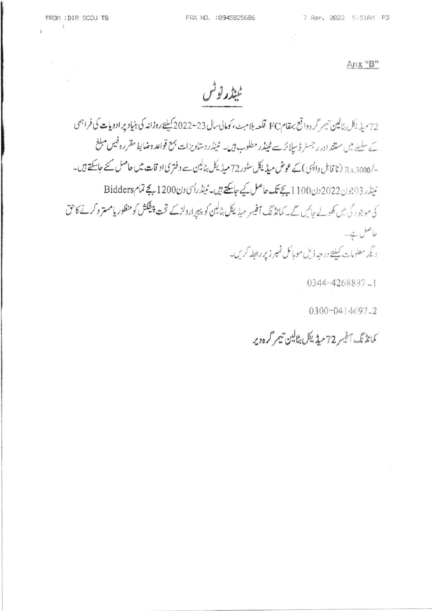$\sim$   $-$ 

Anx "B"

ٹینڈر نوٹس

72 مىڈىكل بٹالین تىمر گردوا قع بہقامFC قلعہ بلامب ،كومالى مال 23-2022 كىليے روزانہ كى بنیاد پر ادویات كى فراہمى کے سکسلے میں مستند اور رجسٹر ڈسپا کر سے ٹینڈر مطلوب ہیں۔ ٹینڈر دستاویزات بہتع قواعد وضابط مقررہ فیس مبلغ -/Rs.3000 (نا قابل داپسی ) کیے عوض میڈیکل سٹور 72 میڈیکل بٹالین سے دفتری او قات میں حاصل کئے جاسکتے ہیں۔ ئىنڈر 2023 دن2022 دن200 بے تک حاصل کیے جاسکتے ہیں۔ ٹینڈرای دن200 بے تمام Bidders کی موجود گی میں کھولے جائیں گے۔ کمانڈ تک آفیسر میڈیکل بٹالین کو پیرارولز کے تخت پن<del>یک</del>ش کومنظور یامستر دکرنے کا حق حاصل بيقة۔ دیگر معلومات کیلیۓ در حد ذیل موبائل نمبر زیر رابطه کریں۔

 $0344 - 4268887 - 1$ 

0300-0414697-2

كمانڈنگ آفیسر 72 میڈیکل بٹالین تیم گرہ دیر